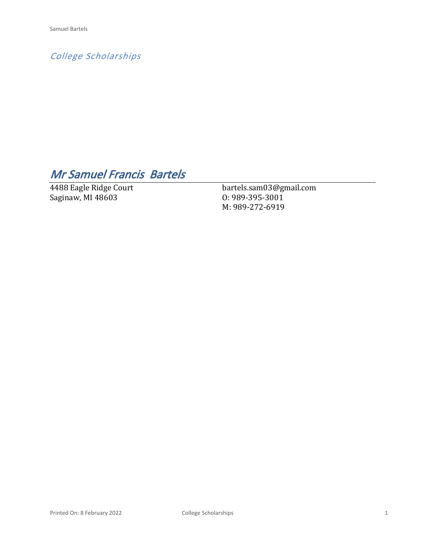*College Scholarships*

# *Mr Samuel Francis Bartels*

4488 Eagle Ridge Court Saginaw, MI 48603

bartels.sam03@gmail.com O: 989-395-3001 M: 989-272-6919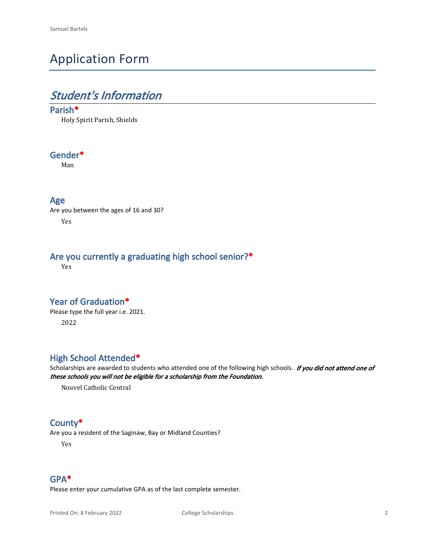# Application Form

## *Student's Information*

#### **Parish\***

Holy Spirit Parish, Shields

#### **Gender\***

Man

#### **Age**

Are you between the ages of 16 and 30? Yes

### **Are you currently a graduating high school senior?\***

Yes

#### **Year of Graduation\***

Please type the full year i.e. 2021. 2022

#### **High School Attended\***

Scholarships are awarded to students who attended one of the following high schools. *If you did not attend one of these schools you will not be eligible for a scholarship from the Foundation.*

Nouvel Catholic Central

#### **County\***

Are you a resident of the Saginaw, Bay or Midland Counties?

Yes

#### **GPA\***

Please enter your cumulative GPA as of the last complete semester.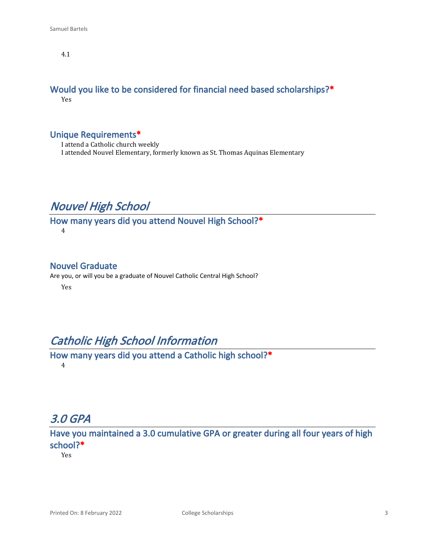4.1

#### **Would you like to be considered for financial need based scholarships?\*** Yes

#### **Unique Requirements\***

I attend a Catholic church weekly I attended Nouvel Elementary, formerly known as St. Thomas Aquinas Elementary

### *Nouvel High School*

**How many years did you attend Nouvel High School?\*** 4

#### **Nouvel Graduate**

Are you, or will you be a graduate of Nouvel Catholic Central High School?

Yes

### *Catholic High School Information*

**How many years did you attend a Catholic high school?\*** 4

### *3.0 GPA*

**Have you maintained a 3.0 cumulative GPA or greater during all four years of high school?\***

Yes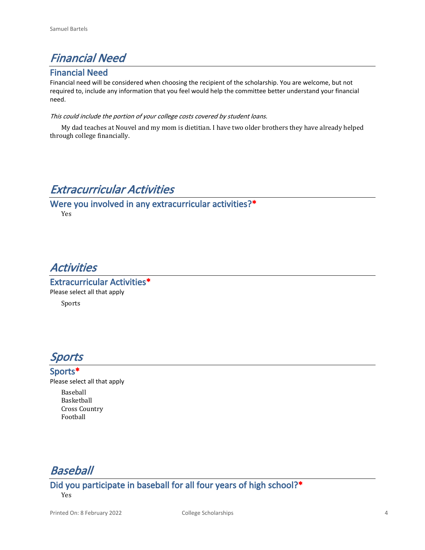## *Financial Need*

#### **Financial Need**

Financial need will be considered when choosing the recipient of the scholarship. You are welcome, but not required to, include any information that you feel would help the committee better understand your financial need.

#### *This could include the portion of your college costs covered by student loans.*

My dad teaches at Nouvel and my mom is dietitian. I have two older brothers they have already helped through college financially.

### *Extracurricular Activities*

**Were you involved in any extracurricular activities?\*** Yes

### *Activities*

**Extracurricular Activities\*** Please select all that apply Sports



#### **Sports\***

Please select all that apply

Baseball Basketball Cross Country Football

*Baseball*

**Did you participate in baseball for all four years of high school?\*** Yes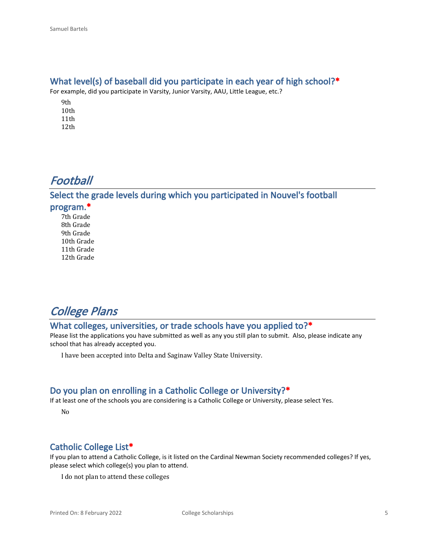#### **What level(s) of baseball did you participate in each year of high school?\***

For example, did you participate in Varsity, Junior Varsity, AAU, Little League, etc.?

9th 10th 11th 12th

## *Football*

**Select the grade levels during which you participated in Nouvel's football program.\***

7th Grade 8th Grade 9th Grade 10th Grade 11th Grade 12th Grade

## *College Plans*

### **What colleges, universities, or trade schools have you applied to?\***

Please list the applications you have submitted as well as any you still plan to submit. Also, please indicate any school that has already accepted you.

I have been accepted into Delta and Saginaw Valley State University.

#### **Do you plan on enrolling in a Catholic College or University?\***

If at least one of the schools you are considering is a Catholic College or University, please select Yes.

No

#### **Catholic College List\***

If you plan to attend a Catholic College, is it listed on the Cardinal Newman Society recommended colleges? If yes, please select which college(s) you plan to attend.

I do not plan to attend these colleges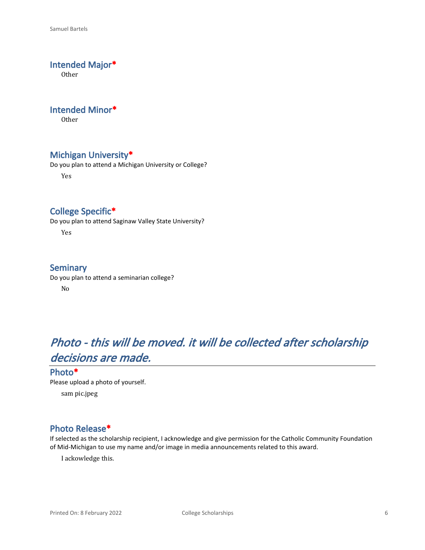#### **Intended Major\***

**Other** 

#### **Intended Minor\***

Other

#### **Michigan University\***

Do you plan to attend a Michigan University or College?

Yes

### **College Specific\***

Do you plan to attend Saginaw Valley State University?

Yes

#### **Seminary**

Do you plan to attend a seminarian college? No

# *Photo - this will be moved. it will be collected after scholarship decisions are made.*

#### **Photo\***

Please upload a photo of yourself.

sam pic.jpeg

#### **Photo Release\***

If selected as the scholarship recipient, I acknowledge and give permission for the Catholic Community Foundation of Mid-Michigan to use my name and/or image in media announcements related to this award.

I ackowledge this.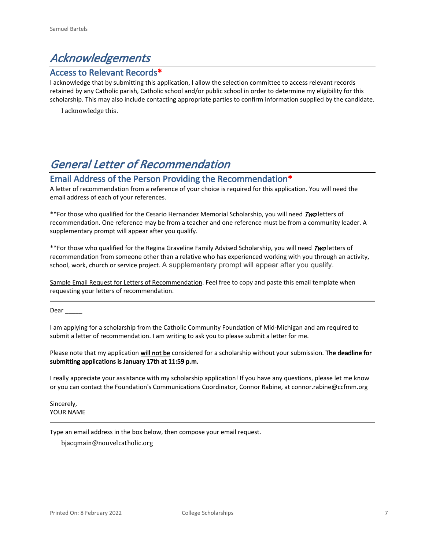## *Acknowledgements*

#### **Access to Relevant Records\***

I acknowledge that by submitting this application, I allow the selection committee to access relevant records retained by any Catholic parish, Catholic school and/or public school in order to determine my eligibility for this scholarship. This may also include contacting appropriate parties to confirm information supplied by the candidate.

I acknowledge this.

## *General Letter of Recommendation*

#### **Email Address of the Person Providing the Recommendation\***

A letter of recommendation from a reference of your choice is required for this application. You will need the email address of each of your references.

\*\*For those who qualified for the Cesario Hernandez Memorial Scholarship, you will need *Two* letters of recommendation. One reference may be from a teacher and one reference must be from a community leader. A supplementary prompt will appear after you qualify.

\*\*For those who qualified for the Regina Graveline Family Advised Scholarship, you will need *Two* letters of recommendation from someone other than a relative who has experienced working with you through an activity, school, work, church or service project. A supplementary prompt will appear after you qualify.

Sample Email Request for Letters of Recommendation. Feel free to copy and paste this email template when requesting your letters of recommendation.

Dear \_\_\_\_\_

I am applying for a scholarship from the Catholic Community Foundation of Mid-Michigan and am required to submit a letter of recommendation. I am writing to ask you to please submit a letter for me.

Please note that my application **will not be** considered for a scholarship without your submission. **The deadline for submitting applications is January 17th at 11:59 p.m.**

I really appreciate your assistance with my scholarship application! If you have any questions, please let me know or you can contact the Foundation's Communications Coordinator, Connor Rabine, at connor.rabine@ccfmm.org

Sincerely, YOUR NAME

Type an email address in the box below, then compose your email request.

bjacqmain@nouvelcatholic.org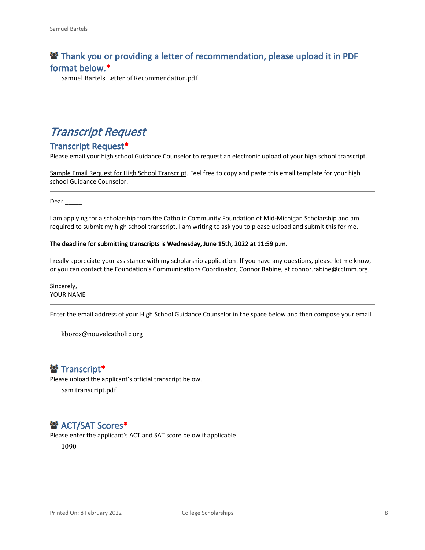### **<sup>2</sup> Thank you or providing a letter of recommendation, please upload it in PDF format below.\***

Samuel Bartels Letter of Recommendation.pdf

### *Transcript Request*

#### **Transcript Request\***

Please email your high school Guidance Counselor to request an electronic upload of your high school transcript.

Sample Email Request for High School Transcript. Feel free to copy and paste this email template for your high school Guidance Counselor.

Dear  $\qquad$ 

I am applying for a scholarship from the Catholic Community Foundation of Mid-Michigan Scholarship and am required to submit my high school transcript. I am writing to ask you to please upload and submit this for me.

#### **The deadline for submitting transcripts is Wednesday, June 15th, 2022 at 11:59 p.m.**

I really appreciate your assistance with my scholarship application! If you have any questions, please let me know, or you can contact the Foundation's Communications Coordinator, Connor Rabine, at connor.rabine@ccfmm.org.

Sincerely, YOUR NAME

Enter the email address of your High School Guidance Counselor in the space below and then compose your email.

kboros@nouvelcatholic.org

### **Transcript\***

Please upload the applicant's official transcript below.

Sam transcript.pdf

### $\mathbf{B}^*$  **ACT/SAT Scores\***

Please enter the applicant's ACT and SAT score below if applicable.

1090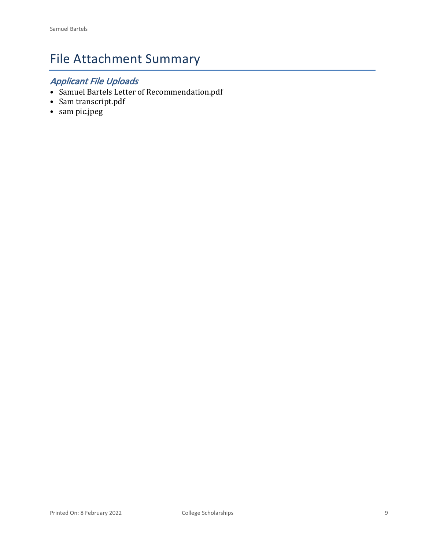# File Attachment Summary

## *Applicant File Uploads*

- Samuel Bartels Letter of Recommendation.pdf
- Sam transcript.pdf
- sam pic.jpeg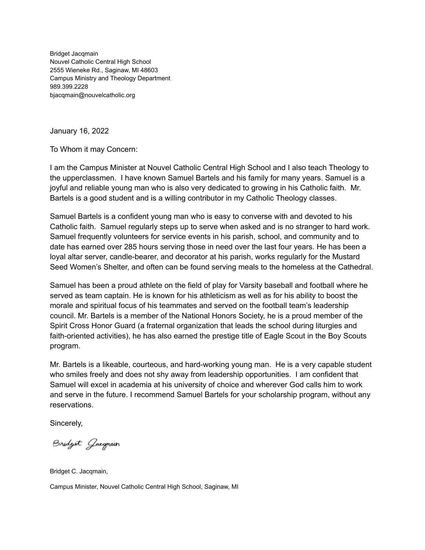Bridget Jacqmain Nouvel Catholic Central High School 2555 Wieneke Rd., Saginaw, MI 48603 Campus Ministry and Theology Department 989.399.2228 bjacqmain@nouvelcatholic.org

January 16, 2022

To Whom it may Concern:

I am the Campus Minister at Nouvel Catholic Central High School and I also teach Theology to the upperclassmen. I have known Samuel Bartels and his family for many years. Samuel is a joyful and reliable young man who is also very dedicated to growing in his Catholic faith. Mr. Bartels is a good student and is a willing contributor in my Catholic Theology classes.

Samuel Bartels is a confident young man who is easy to converse with and devoted to his Catholic faith. Samuel regularly steps up to serve when asked and is no stranger to hard work. Samuel frequently volunteers for service events in his parish, school, and community and to date has earned over 285 hours serving those in need over the last four years. He has been a loyal altar server, candle-bearer, and decorator at his parish, works regularly for the Mustard Seed Women's Shelter, and often can be found serving meals to the homeless at the Cathedral.

Samuel has been a proud athlete on the field of play for Varsity baseball and football where he served as team captain. He is known for his athleticism as well as for his ability to boost the morale and spiritual focus of his teammates and served on the football team's leadership council. Mr. Bartels is a member of the National Honors Society, he is a proud member of the Spirit Cross Honor Guard (a fraternal organization that leads the school during liturgies and faith-oriented activities), he has also earned the prestige title of Eagle Scout in the Boy Scouts program.

Mr. Bartels is a likeable, courteous, and hard-working young man. He is a very capable student who smiles freely and does not shy away from leadership opportunities. I am confident that Samuel will excel in academia at his university of choice and wherever God calls him to work and serve in the future. I recommend Samuel Bartels for your scholarship program, without any reservations.

Sincerely,

Bridget Gaegmain

Bridget C. Jacqmain,

Campus Minister, Nouvel Catholic Central High School, Saginaw, MI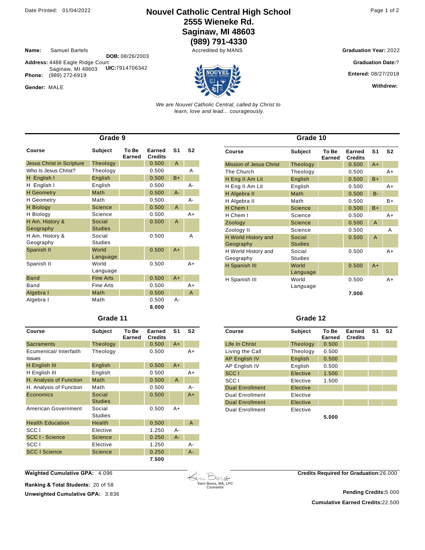### Date Printed: 01/04/2022 **Nouvel Catholic Central High School** Page 1 of 2 **2555 Wieneke Rd. Saginaw, MI 48603**

**(989) 791-4330**

**Name:** Samuel Bartels

**Address:** 4488 Eagle Ridge Court Saginaw, MI 48603 **DOB:** 08/26/2003 Phone: (989) 272-6919 **UIC:**7914706342

Gender: MALE

**Graduation Year: 2022** 

**Graduation Date:**?

**Entered:** 08/27/2018

**Withdrew:** 

*We are Nouvel Catholic Central, called by Christ to learn, love and lead... courageously.*

| Grade 9                          |                  |                 |                          |                |                |  |
|----------------------------------|------------------|-----------------|--------------------------|----------------|----------------|--|
| Course                           | Subject          | To Be<br>Earned | Earned<br><b>Credits</b> | S1             | S <sub>2</sub> |  |
| <b>Jesus Christ in Scripture</b> | Theology         |                 | 0.500                    | A              |                |  |
| Who Is Jesus Christ?             | Theology         |                 | 0.500                    |                | Α              |  |
| H English I                      | English          |                 | 0.500                    | $B+$           |                |  |
| H English I                      | English          |                 | 0.500                    |                | A-             |  |
| <b>H</b> Geometry                | Math             |                 | 0.500                    | $A -$          |                |  |
| <b>H</b> Geometry                | Math             |                 | 0.500                    |                | A-             |  |
| <b>H</b> Biology                 | Science          |                 | 0.500                    | $\overline{A}$ |                |  |
| H Biology                        | Science          |                 | 0.500                    |                | $A+$           |  |
| H Am. History &                  | Social           |                 | 0.500                    | A              |                |  |
| Geography                        | <b>Studies</b>   |                 |                          |                |                |  |
| H Am. History &                  | Social           |                 | 0.500                    |                | Α              |  |
| Geography                        | <b>Studies</b>   |                 |                          |                |                |  |
| Spanish II                       | World            |                 | 0.500                    | $A+$           |                |  |
|                                  | Language         |                 |                          |                |                |  |
| Spanish II                       | World            |                 | 0.500                    |                | $A+$           |  |
|                                  | Language         |                 |                          |                |                |  |
| <b>Band</b>                      | <b>Fine Arts</b> |                 | 0.500                    | $A+$           |                |  |
| Band                             | Fine Arts        |                 | 0.500                    |                | $A+$           |  |
| Algebra I                        | Math             |                 | 0.500                    |                | A              |  |
| Algebra I                        | Math             |                 | 0.500                    | $A -$          |                |  |
|                                  |                  |                 | 8.000                    |                |                |  |

| Grade 11 |  |
|----------|--|
|----------|--|

| Course                                  | Subject                  | To Be<br>Earned | Earned<br><b>Credits</b> | S1    | S2   |
|-----------------------------------------|--------------------------|-----------------|--------------------------|-------|------|
| Sacraments                              | Theology                 |                 | 0.500                    | $A+$  |      |
| Ecumenical/ Interfaith<br><b>Issues</b> | Theology                 |                 | 0.500                    |       | A+   |
| H English III                           | English                  |                 | 0.500                    | $A+$  |      |
| H English III                           | English                  |                 | 0.500                    |       | A+   |
| H. Analysis of Function                 | Math                     |                 | 0.500                    | A     |      |
| H. Analysis of Function                 | Math                     |                 | 0.500                    |       | А-   |
| Economics                               | Social<br><b>Studies</b> |                 | 0.500                    |       | $A+$ |
| American Government                     | Social<br><b>Studies</b> |                 | 0.500                    | $A+$  |      |
| <b>Health Education</b>                 | Health                   |                 | 0.500                    |       | A    |
| SCC <sub>1</sub>                        | Elective                 |                 | 1.250                    | А-    |      |
| SCC I - Science                         | <b>Science</b>           |                 | 0.250                    | $A -$ |      |
| SCC <sub>1</sub>                        | Elective                 |                 | 1.250                    |       | А-   |
| <b>SCC I Science</b>                    | <b>Science</b>           |                 | 0.250                    |       | А-   |
|                                         |                          |                 | 7.500                    |       |      |

| Grade 10                         |                          |                 |                          |                |      |
|----------------------------------|--------------------------|-----------------|--------------------------|----------------|------|
| Course                           | Subject                  | To Be<br>Earned | Earned<br><b>Credits</b> | S <sub>1</sub> | S2   |
| <b>Mission of Jesus Christ</b>   | Theology                 |                 | 0.500                    | $A+$           |      |
| The Church                       | Theology                 |                 | 0.500                    |                | $A+$ |
| H Eng II Am Lit                  | English                  |                 | 0.500                    | $B+$           |      |
| H Eng II Am Lit                  | English                  |                 | 0.500                    |                | A+   |
| H Algebra II                     | Math                     |                 | 0.500                    | $B -$          |      |
| H Algebra II                     | Math                     |                 | 0.500                    |                | $B+$ |
| H Chem I                         | Science                  |                 | 0.500                    | $B+$           |      |
| H Chem I                         | Science                  |                 | 0.500                    |                | $A+$ |
| Zoology                          | <b>Science</b>           |                 | 0.500                    | $\mathsf{A}$   |      |
| Zoology II                       | Science                  |                 | 0.500                    |                | Α    |
| H World History and<br>Geography | Social<br><b>Studies</b> |                 | 0.500                    | A              |      |
| H World History and<br>Geography | Social<br><b>Studies</b> |                 | 0.500                    |                | A+   |
| H Spanish III                    | World<br>Language        |                 | 0.500                    | $A+$           |      |
| H Spanish III                    | World<br>Language        |                 | 0.500                    |                | A+   |
|                                  |                          |                 | 7.000                    |                |      |

#### **Grade 12**

| Course                 | <b>Subject</b>  | To Be<br>Earned | Earned<br><b>Credits</b> | S <sub>1</sub> | S <sub>2</sub> |
|------------------------|-----------------|-----------------|--------------------------|----------------|----------------|
| Life In Christ         | <b>Theology</b> | 0.500           |                          |                |                |
| Living the Call        | Theology        | 0.500           |                          |                |                |
| <b>AP English IV</b>   | English         | 0.500           |                          |                |                |
| AP English IV          | English         | 0.500           |                          |                |                |
| SCC <sub>1</sub>       | Elective        | 1.500           |                          |                |                |
| SCC <sub>1</sub>       | Elective        | 1.500           |                          |                |                |
| <b>Dual Enrollment</b> | Elective        |                 |                          |                |                |
| <b>Dual Enrollment</b> | Elective        |                 |                          |                |                |
| <b>Dual Enrollment</b> | Elective        |                 |                          |                |                |
| <b>Dual Enrollment</b> | Elective        |                 |                          |                |                |
|                        |                 | 5.000           |                          |                |                |

**Weighted Cumulative GPA:** 4.096

**Ranking & Total Students:** 20 of 58

**Unweighted Cumulative GPA: 3.836** 

Kerri Boros, MA, LPC Counselor

**Credits Required for Graduation:**26.000

**Cumulative Earned Credits:**22.500 **Pending Credits:**5.000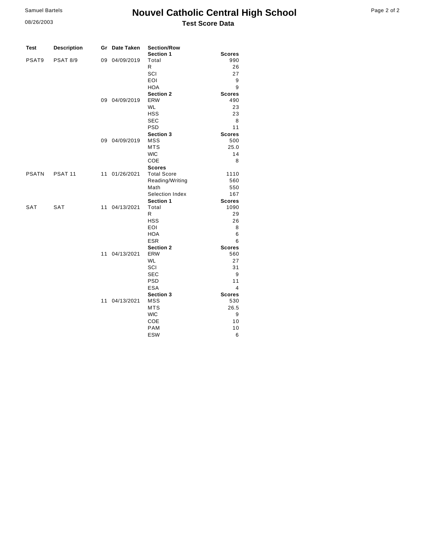08/26/2003

### **Nouvel Catholic Central High School Test Score Data**

| <b>Test</b>       | <b>Description</b> |    | Gr Date Taken | <b>Section/Row</b>      |               |
|-------------------|--------------------|----|---------------|-------------------------|---------------|
|                   |                    |    |               | Section 1               | <b>Scores</b> |
| PSAT <sub>9</sub> | <b>PSAT 8/9</b>    | 09 | 04/09/2019    | Total                   | 990           |
|                   |                    |    |               | R                       | 26            |
|                   |                    |    |               | SCI                     | 27            |
|                   |                    |    |               | EOI                     | 9             |
|                   |                    |    |               | <b>HOA</b>              | 9             |
|                   |                    |    |               | <b>Section 2</b>        | <b>Scores</b> |
|                   |                    |    | 09 04/09/2019 | <b>ERW</b>              | 490           |
|                   |                    |    |               | <b>WL</b><br><b>HSS</b> | 23<br>23      |
|                   |                    |    |               | <b>SEC</b>              |               |
|                   |                    |    |               | <b>PSD</b>              | 8<br>11       |
|                   |                    |    |               | Section 3               | <b>Scores</b> |
|                   |                    |    | 09 04/09/2019 | <b>MSS</b>              | 500           |
|                   |                    |    |               | <b>MTS</b>              | 25.0          |
|                   |                    |    |               | <b>WIC</b>              | 14            |
|                   |                    |    |               | <b>COE</b>              | 8             |
|                   |                    |    |               | <b>Scores</b>           |               |
| <b>PSATN</b>      | PSAT <sub>11</sub> |    | 11 01/26/2021 | <b>Total Score</b>      | 1110          |
|                   |                    |    |               | Reading/Writing         | 560           |
|                   |                    |    |               | Math                    | 550           |
|                   |                    |    |               | Selection Index         | 167           |
|                   |                    |    |               | Section 1               | <b>Scores</b> |
| SAT               | <b>SAT</b>         |    | 11 04/13/2021 | Total                   | 1090          |
|                   |                    |    |               | $\mathsf{R}$            | 29            |
|                   |                    |    |               | <b>HSS</b>              | 26            |
|                   |                    |    |               | <b>EOI</b>              | 8             |
|                   |                    |    |               | <b>HOA</b>              | 6             |
|                   |                    |    |               | <b>ESR</b>              | 6             |
|                   |                    |    |               | <b>Section 2</b>        | <b>Scores</b> |
|                   |                    |    | 11 04/13/2021 | <b>ERW</b>              | 560           |
|                   |                    |    |               | <b>WL</b>               | 27            |
|                   |                    |    |               | SCI                     | 31            |
|                   |                    |    |               | <b>SEC</b>              | 9             |
|                   |                    |    |               | <b>PSD</b>              | 11            |
|                   |                    |    |               | <b>ESA</b>              | 4             |
|                   |                    |    |               | Section 3               | <b>Scores</b> |
|                   |                    | 11 | 04/13/2021    | <b>MSS</b>              | 530           |
|                   |                    |    |               | MTS                     | 26.5          |
|                   |                    |    |               | <b>WIC</b>              | 9             |
|                   |                    |    |               | COE                     | 10            |
|                   |                    |    |               | <b>PAM</b>              | 10            |
|                   |                    |    |               | <b>ESW</b>              | 6             |